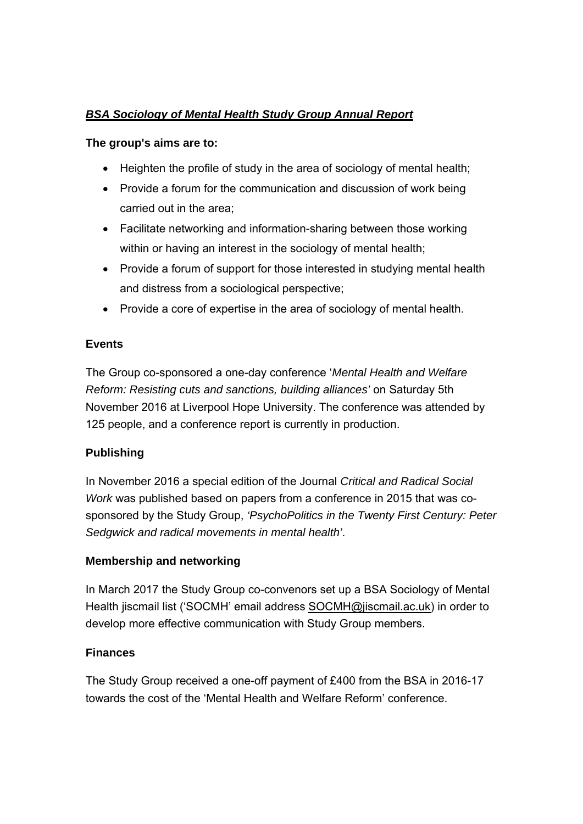# *BSA Sociology of Mental Health Study Group Annual Report*

#### **The group's aims are to:**

- $\bullet$  Heighten the profile of study in the area of sociology of mental health:
- Provide a forum for the communication and discussion of work being carried out in the area;
- Facilitate networking and information-sharing between those working within or having an interest in the sociology of mental health;
- Provide a forum of support for those interested in studying mental health and distress from a sociological perspective;
- Provide a core of expertise in the area of sociology of mental health.

#### **Events**

The Group co-sponsored a one-day conference '*Mental Health and Welfare Reform: Resisting cuts and sanctions, building alliances'* on Saturday 5th November 2016 at Liverpool Hope University. The conference was attended by 125 people, and a conference report is currently in production.

## **Publishing**

In November 2016 a special edition of the Journal *Critical and Radical Social Work* was published based on papers from a conference in 2015 that was cosponsored by the Study Group, *'PsychoPolitics in the Twenty First Century: Peter Sedgwick and radical movements in mental health'*.

## **Membership and networking**

In March 2017 the Study Group co-convenors set up a BSA Sociology of Mental Health jiscmail list ('SOCMH' email address SOCMH@jiscmail.ac.uk) in order to develop more effective communication with Study Group members.

## **Finances**

The Study Group received a one-off payment of £400 from the BSA in 2016-17 towards the cost of the 'Mental Health and Welfare Reform' conference.